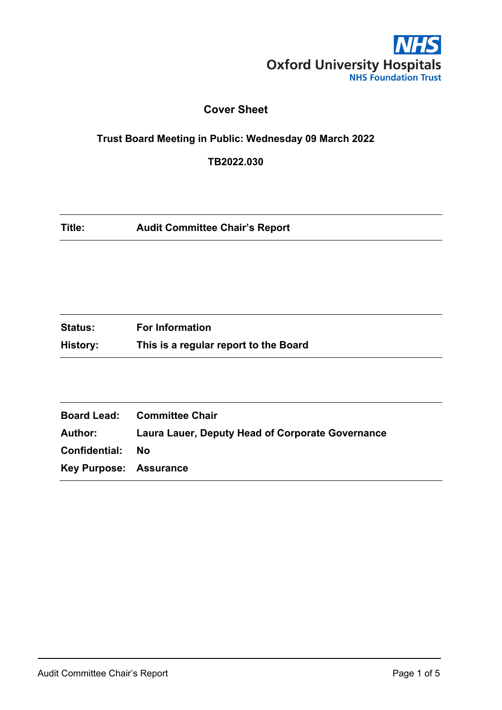

# **Cover Sheet**

# **Trust Board Meeting in Public: Wednesday 09 March 2022**

**TB2022.030**

| Title: | <b>Audit Committee Chair's Report</b> |
|--------|---------------------------------------|
|--------|---------------------------------------|

| <b>Status:</b> | <b>For Information</b>                |
|----------------|---------------------------------------|
| History:       | This is a regular report to the Board |

|                               | <b>Board Lead: Committee Chair</b>                      |
|-------------------------------|---------------------------------------------------------|
| Author:                       | <b>Laura Lauer, Deputy Head of Corporate Governance</b> |
| Confidential:                 | - No                                                    |
| <b>Key Purpose: Assurance</b> |                                                         |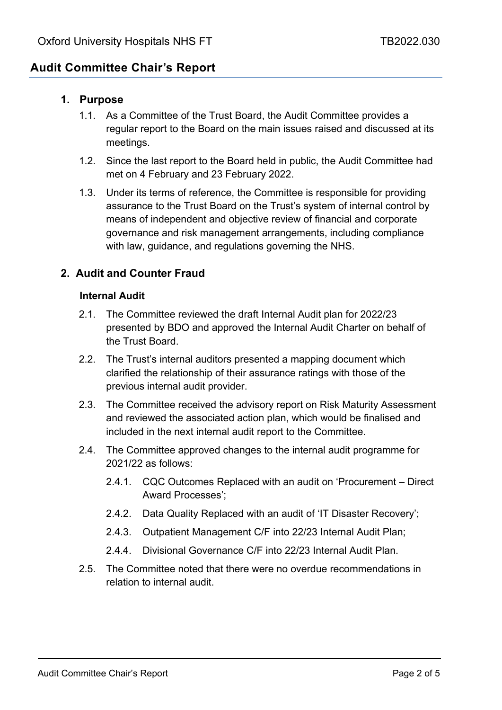# **Audit Committee Chair's Report**

# **1. Purpose**

- 1.1. As a Committee of the Trust Board, the Audit Committee provides a regular report to the Board on the main issues raised and discussed at its meetings.
- 1.2. Since the last report to the Board held in public, the Audit Committee had met on 4 February and 23 February 2022.
- 1.3. Under its terms of reference, the Committee is responsible for providing assurance to the Trust Board on the Trust's system of internal control by means of independent and objective review of financial and corporate governance and risk management arrangements, including compliance with law, guidance, and regulations governing the NHS.

# **2. Audit and Counter Fraud**

# **Internal Audit**

- 2.1. The Committee reviewed the draft Internal Audit plan for 2022/23 presented by BDO and approved the Internal Audit Charter on behalf of the Trust Board.
- 2.2. The Trust's internal auditors presented a mapping document which clarified the relationship of their assurance ratings with those of the previous internal audit provider.
- 2.3. The Committee received the advisory report on Risk Maturity Assessment and reviewed the associated action plan, which would be finalised and included in the next internal audit report to the Committee.
- 2.4. The Committee approved changes to the internal audit programme for 2021/22 as follows:
	- 2.4.1. CQC Outcomes Replaced with an audit on 'Procurement Direct Award Processes';
	- 2.4.2. Data Quality Replaced with an audit of 'IT Disaster Recovery';
	- 2.4.3. Outpatient Management C/F into 22/23 Internal Audit Plan;
	- 2.4.4. Divisional Governance C/F into 22/23 Internal Audit Plan.
- 2.5. The Committee noted that there were no overdue recommendations in relation to internal audit.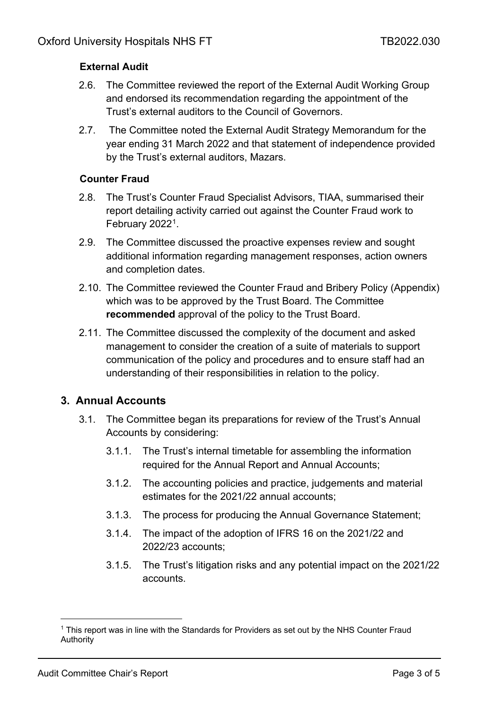# **External Audit**

- 2.6. The Committee reviewed the report of the External Audit Working Group and endorsed its recommendation regarding the appointment of the Trust's external auditors to the Council of Governors.
- 2.7. The Committee noted the External Audit Strategy Memorandum for the year ending 31 March 2022 and that statement of independence provided by the Trust's external auditors, Mazars.

# **Counter Fraud**

- 2.8. The Trust's Counter Fraud Specialist Advisors, TIAA, summarised their report detailing activity carried out against the Counter Fraud work to February 2022<sup>1</sup>.
- 2.9. The Committee discussed the proactive expenses review and sought additional information regarding management responses, action owners and completion dates.
- 2.10. The Committee reviewed the Counter Fraud and Bribery Policy (Appendix) which was to be approved by the Trust Board. The Committee **recommended** approval of the policy to the Trust Board.
- 2.11. The Committee discussed the complexity of the document and asked management to consider the creation of a suite of materials to support communication of the policy and procedures and to ensure staff had an understanding of their responsibilities in relation to the policy.

# **3. Annual Accounts**

- 3.1. The Committee began its preparations for review of the Trust's Annual Accounts by considering:
	- 3.1.1. The Trust's internal timetable for assembling the information required for the Annual Report and Annual Accounts;
	- 3.1.2. The accounting policies and practice, judgements and material estimates for the 2021/22 annual accounts;
	- 3.1.3. The process for producing the Annual Governance Statement;
	- 3.1.4. The impact of the adoption of IFRS 16 on the 2021/22 and 2022/23 accounts;
	- 3.1.5. The Trust's litigation risks and any potential impact on the 2021/22 accounts.

<span id="page-2-0"></span><sup>1</sup> This report was in line with the Standards for Providers as set out by the NHS Counter Fraud **Authority**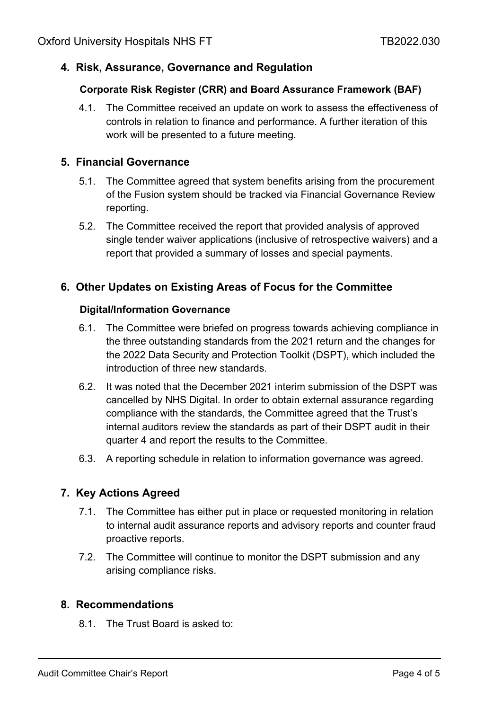# **4. Risk, Assurance, Governance and Regulation**

# **Corporate Risk Register (CRR) and Board Assurance Framework (BAF)**

4.1. The Committee received an update on work to assess the effectiveness of controls in relation to finance and performance. A further iteration of this work will be presented to a future meeting.

# **5. Financial Governance**

- 5.1. The Committee agreed that system benefits arising from the procurement of the Fusion system should be tracked via Financial Governance Review reporting.
- 5.2. The Committee received the report that provided analysis of approved single tender waiver applications (inclusive of retrospective waivers) and a report that provided a summary of losses and special payments.

# **6. Other Updates on Existing Areas of Focus for the Committee**

# **Digital/Information Governance**

- 6.1. The Committee were briefed on progress towards achieving compliance in the three outstanding standards from the 2021 return and the changes for the 2022 Data Security and Protection Toolkit (DSPT), which included the introduction of three new standards.
- 6.2. It was noted that the December 2021 interim submission of the DSPT was cancelled by NHS Digital. In order to obtain external assurance regarding compliance with the standards, the Committee agreed that the Trust's internal auditors review the standards as part of their DSPT audit in their quarter 4 and report the results to the Committee.
- 6.3. A reporting schedule in relation to information governance was agreed.

# **7. Key Actions Agreed**

- 7.1. The Committee has either put in place or requested monitoring in relation to internal audit assurance reports and advisory reports and counter fraud proactive reports.
- 7.2. The Committee will continue to monitor the DSPT submission and any arising compliance risks.

# **8. Recommendations**

8.1. The Trust Board is asked to: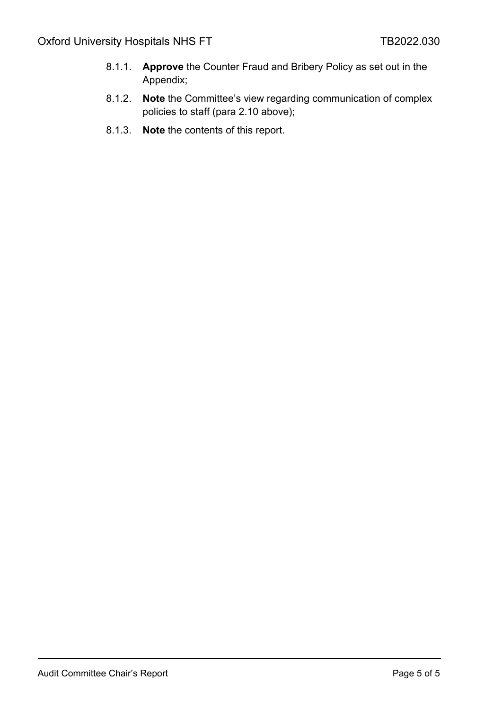- 8.1.1. **Approve** the Counter Fraud and Bribery Policy as set out in the Appendix;
- 8.1.2. **Note** the Committee's view regarding communication of complex policies to staff (para 2.10 above);
- 8.1.3. **Note** the contents of this report.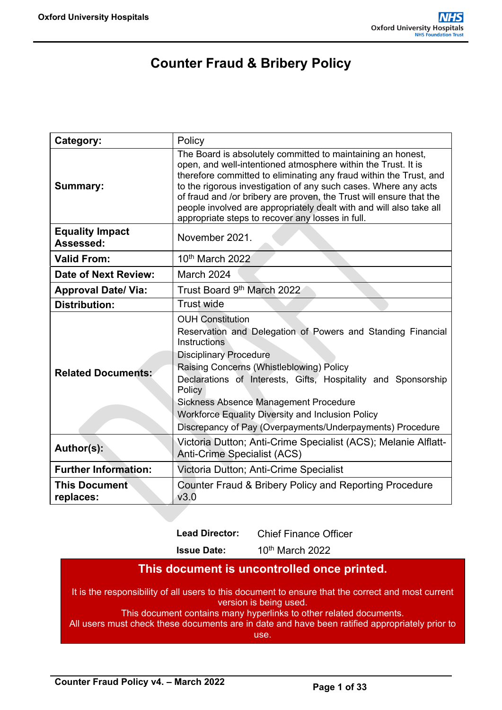# **Counter Fraud & Bribery Policy**

| Category:                           | Policy                                                                                                                                                                                                                                                                                                                                                                                                                                                                  |
|-------------------------------------|-------------------------------------------------------------------------------------------------------------------------------------------------------------------------------------------------------------------------------------------------------------------------------------------------------------------------------------------------------------------------------------------------------------------------------------------------------------------------|
| <b>Summary:</b>                     | The Board is absolutely committed to maintaining an honest,<br>open, and well-intentioned atmosphere within the Trust. It is<br>therefore committed to eliminating any fraud within the Trust, and<br>to the rigorous investigation of any such cases. Where any acts<br>of fraud and /or bribery are proven, the Trust will ensure that the<br>people involved are appropriately dealt with and will also take all<br>appropriate steps to recover any losses in full. |
| <b>Equality Impact</b><br>Assessed: | November 2021.                                                                                                                                                                                                                                                                                                                                                                                                                                                          |
| <b>Valid From:</b>                  | 10 <sup>th</sup> March 2022                                                                                                                                                                                                                                                                                                                                                                                                                                             |
| <b>Date of Next Review:</b>         | March 2024                                                                                                                                                                                                                                                                                                                                                                                                                                                              |
| <b>Approval Date/ Via:</b>          | Trust Board 9th March 2022                                                                                                                                                                                                                                                                                                                                                                                                                                              |
| <b>Distribution:</b>                | Trust wide                                                                                                                                                                                                                                                                                                                                                                                                                                                              |
| <b>Related Documents:</b>           | <b>OUH</b> Constitution<br>Reservation and Delegation of Powers and Standing Financial<br>Instructions<br><b>Disciplinary Procedure</b><br>Raising Concerns (Whistleblowing) Policy<br>Declarations of Interests, Gifts, Hospitality and Sponsorship<br>Policy<br><b>Sickness Absence Management Procedure</b><br>Workforce Equality Diversity and Inclusion Policy<br>Discrepancy of Pay (Overpayments/Underpayments) Procedure                                        |
| Author(s):                          | Victoria Dutton; Anti-Crime Specialist (ACS); Melanie Alflatt-<br><b>Anti-Crime Specialist (ACS)</b>                                                                                                                                                                                                                                                                                                                                                                    |
| <b>Further Information:</b>         | Victoria Dutton; Anti-Crime Specialist                                                                                                                                                                                                                                                                                                                                                                                                                                  |
| <b>This Document</b><br>replaces:   | Counter Fraud & Bribery Policy and Reporting Procedure<br>V3.0                                                                                                                                                                                                                                                                                                                                                                                                          |

**Lead Director:** Chief Finance Officer

**Issue Date:** 10th March 2022

# **This document is uncontrolled once printed.**

It is the responsibility of all users to this document to ensure that the correct and most current version is being used.

This document contains many hyperlinks to other related documents.

All users must check these documents are in date and have been ratified appropriately prior to use.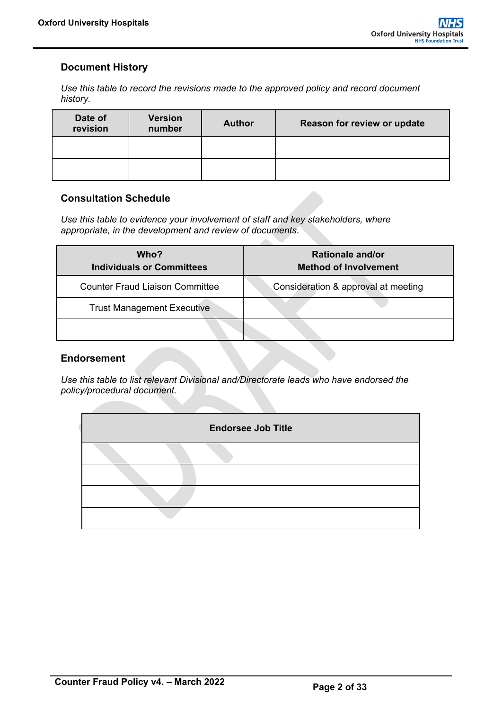# <span id="page-6-0"></span>**Document History**

*Use this table to record the revisions made to the approved policy and record document history.*

| Date of<br>revision | <b>Version</b><br>number | <b>Author</b> | Reason for review or update |
|---------------------|--------------------------|---------------|-----------------------------|
|                     |                          |               |                             |
|                     |                          |               |                             |

# <span id="page-6-1"></span>**Consultation Schedule**

*Use this table to evidence your involvement of staff and key stakeholders, where appropriate, in the development and review of documents.*

| Who?<br><b>Individuals or Committees</b> | <b>Rationale and/or</b><br><b>Method of Involvement</b> |
|------------------------------------------|---------------------------------------------------------|
| <b>Counter Fraud Liaison Committee</b>   | Consideration & approval at meeting                     |
| <b>Trust Management Executive</b>        |                                                         |
|                                          |                                                         |

# <span id="page-6-2"></span>**Endorsement**

*Use this table to list relevant Divisional and/Directorate leads who have endorsed the policy/procedural document.*

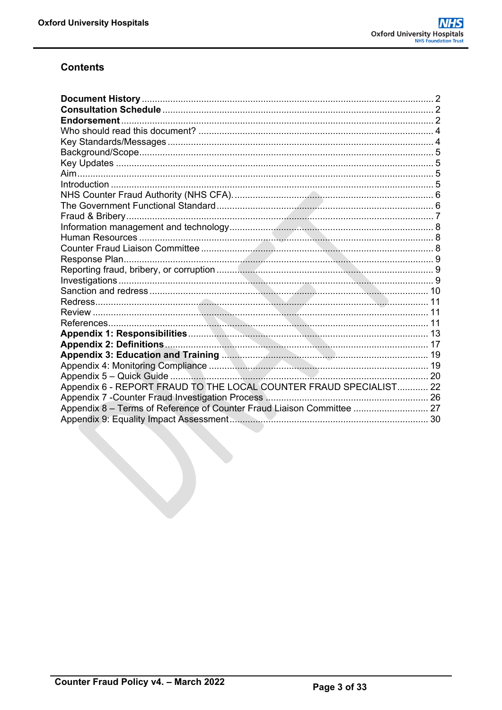# **Contents**

| Appendix 6 - REPORT FRAUD TO THE LOCAL COUNTER FRAUD SPECIALIST 22     |  |
|------------------------------------------------------------------------|--|
|                                                                        |  |
| Appendix 8 - Terms of Reference of Counter Fraud Liaison Committee  27 |  |
|                                                                        |  |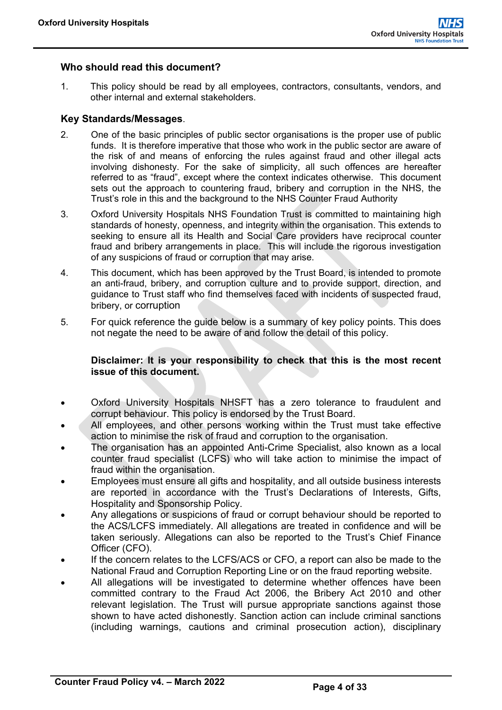# <span id="page-8-0"></span>**Who should read this document?**

1. This policy should be read by all employees, contractors, consultants, vendors, and other internal and external stakeholders.

#### <span id="page-8-1"></span>**Key Standards/Messages**.

- 2. One of the basic principles of public sector organisations is the proper use of public funds. It is therefore imperative that those who work in the public sector are aware of the risk of and means of enforcing the rules against fraud and other illegal acts involving dishonesty. For the sake of simplicity, all such offences are hereafter referred to as "fraud", except where the context indicates otherwise. This document sets out the approach to countering fraud, bribery and corruption in the NHS, the Trust's role in this and the background to the NHS Counter Fraud Authority
- 3. Oxford University Hospitals NHS Foundation Trust is committed to maintaining high standards of honesty, openness, and integrity within the organisation. This extends to seeking to ensure all its Health and Social Care providers have reciprocal counter fraud and bribery arrangements in place. This will include the rigorous investigation of any suspicions of fraud or corruption that may arise.
- 4. This document, which has been approved by the Trust Board, is intended to promote an anti-fraud, bribery, and corruption culture and to provide support, direction, and guidance to Trust staff who find themselves faced with incidents of suspected fraud, bribery, or corruption
- 5. For quick reference the guide below is a summary of key policy points. This does not negate the need to be aware of and follow the detail of this policy.

#### **Disclaimer: It is your responsibility to check that this is the most recent issue of this document.**

- Oxford University Hospitals NHSFT has a zero tolerance to fraudulent and corrupt behaviour. This policy is endorsed by the Trust Board.
- All employees, and other persons working within the Trust must take effective action to minimise the risk of fraud and corruption to the organisation.
- The organisation has an appointed Anti-Crime Specialist, also known as a local counter fraud specialist (LCFS) who will take action to minimise the impact of fraud within the organisation.
- Employees must ensure all gifts and hospitality, and all outside business interests are reported in accordance with the Trust's Declarations of Interests, Gifts, Hospitality and Sponsorship Policy.
- Any allegations or suspicions of fraud or corrupt behaviour should be reported to the ACS/LCFS immediately. All allegations are treated in confidence and will be taken seriously. Allegations can also be reported to the Trust's Chief Finance Officer (CFO).
- If the concern relates to the LCFS/ACS or CFO, a report can also be made to the National Fraud and Corruption Reporting Line or on the fraud reporting website.
- All allegations will be investigated to determine whether offences have been committed contrary to the Fraud Act 2006, the Bribery Act 2010 and other relevant legislation. The Trust will pursue appropriate sanctions against those shown to have acted dishonestly. Sanction action can include criminal sanctions (including warnings, cautions and criminal prosecution action), disciplinary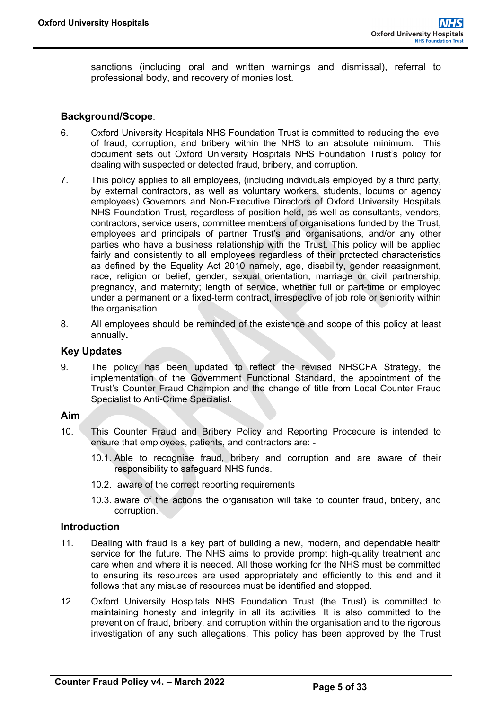sanctions (including oral and written warnings and dismissal), referral to professional body, and recovery of monies lost.

#### <span id="page-9-0"></span>**Background/Scope**.

- 6. Oxford University Hospitals NHS Foundation Trust is committed to reducing the level of fraud, corruption, and bribery within the NHS to an absolute minimum. This document sets out Oxford University Hospitals NHS Foundation Trust's policy for dealing with suspected or detected fraud, bribery, and corruption.
- 7. This policy applies to all employees, (including individuals employed by a third party, by external contractors, as well as voluntary workers, students, locums or agency employees) Governors and Non-Executive Directors of Oxford University Hospitals NHS Foundation Trust, regardless of position held, as well as consultants, vendors, contractors, service users, committee members of organisations funded by the Trust, employees and principals of partner Trust's and organisations, and/or any other parties who have a business relationship with the Trust. This policy will be applied fairly and consistently to all employees regardless of their protected characteristics as defined by the Equality Act 2010 namely, age, disability, gender reassignment, race, religion or belief, gender, sexual orientation, marriage or civil partnership, pregnancy, and maternity; length of service, whether full or part-time or employed under a permanent or a fixed-term contract, irrespective of job role or seniority within the organisation.
- 8. All employees should be reminded of the existence and scope of this policy at least annually**.**

### <span id="page-9-1"></span>**Key Updates**

9. The policy has been updated to reflect the revised NHSCFA Strategy, the implementation of the Government Functional Standard, the appointment of the Trust's Counter Fraud Champion and the change of title from Local Counter Fraud Specialist to Anti-Crime Specialist.

#### <span id="page-9-2"></span>**Aim**

- 10. This Counter Fraud and Bribery Policy and Reporting Procedure is intended to ensure that employees, patients, and contractors are: -
	- 10.1. Able to recognise fraud, bribery and corruption and are aware of their responsibility to safeguard NHS funds.
	- 10.2. aware of the correct reporting requirements
	- 10.3. aware of the actions the organisation will take to counter fraud, bribery, and corruption.

#### <span id="page-9-3"></span>**Introduction**

- 11. Dealing with fraud is a key part of building a new, modern, and dependable health service for the future. The NHS aims to provide prompt high-quality treatment and care when and where it is needed. All those working for the NHS must be committed to ensuring its resources are used appropriately and efficiently to this end and it follows that any misuse of resources must be identified and stopped.
- 12. Oxford University Hospitals NHS Foundation Trust (the Trust) is committed to maintaining honesty and integrity in all its activities. It is also committed to the prevention of fraud, bribery, and corruption within the organisation and to the rigorous investigation of any such allegations. This policy has been approved by the Trust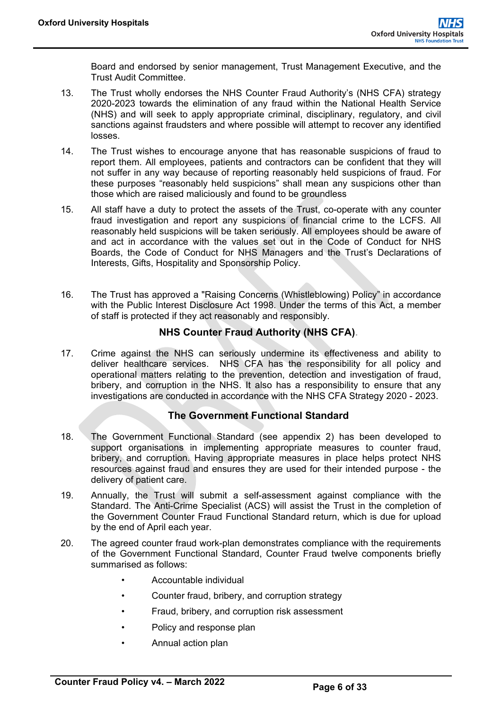Board and endorsed by senior management, Trust Management Executive, and the Trust Audit Committee.

- 13. The Trust wholly endorses the NHS Counter Fraud Authority's (NHS CFA) strategy 2020-2023 towards the elimination of any fraud within the National Health Service (NHS) and will seek to apply appropriate criminal, disciplinary, regulatory, and civil sanctions against fraudsters and where possible will attempt to recover any identified losses.
- 14. The Trust wishes to encourage anyone that has reasonable suspicions of fraud to report them. All employees, patients and contractors can be confident that they will not suffer in any way because of reporting reasonably held suspicions of fraud. For these purposes "reasonably held suspicions" shall mean any suspicions other than those which are raised maliciously and found to be groundless
- 15. All staff have a duty to protect the assets of the Trust, co-operate with any counter fraud investigation and report any suspicions of financial crime to the LCFS. All reasonably held suspicions will be taken seriously. All employees should be aware of and act in accordance with the values set out in the Code of Conduct for NHS Boards, the Code of Conduct for NHS Managers and the Trust's Declarations of Interests, Gifts, Hospitality and Sponsorship Policy.
- 16. The Trust has approved a "Raising Concerns (Whistleblowing) Policy" in accordance with the Public Interest Disclosure Act 1998. Under the terms of this Act, a member of staff is protected if they act reasonably and responsibly.

# **NHS Counter Fraud Authority (NHS CFA).**

<span id="page-10-0"></span>17. Crime against the NHS can seriously undermine its effectiveness and ability to deliver healthcare services. NHS CFA has the responsibility for all policy and operational matters relating to the prevention, detection and investigation of fraud, bribery, and corruption in the NHS. It also has a responsibility to ensure that any investigations are conducted in accordance with the NHS CFA Strategy 2020 - 2023.

# **The Government Functional Standard**

- <span id="page-10-1"></span>18. The Government Functional Standard (see appendix 2) has been developed to support organisations in implementing appropriate measures to counter fraud, bribery, and corruption. Having appropriate measures in place helps protect NHS resources against fraud and ensures they are used for their intended purpose - the delivery of patient care.
- 19. Annually, the Trust will submit a self-assessment against compliance with the Standard. The Anti-Crime Specialist (ACS) will assist the Trust in the completion of the Government Counter Fraud Functional Standard return, which is due for upload by the end of April each year.
- 20. The agreed counter fraud work-plan demonstrates compliance with the requirements of the Government Functional Standard, Counter Fraud twelve components briefly summarised as follows:
	- Accountable individual
	- Counter fraud, bribery, and corruption strategy
	- Fraud, bribery, and corruption risk assessment
	- Policy and response plan
	- Annual action plan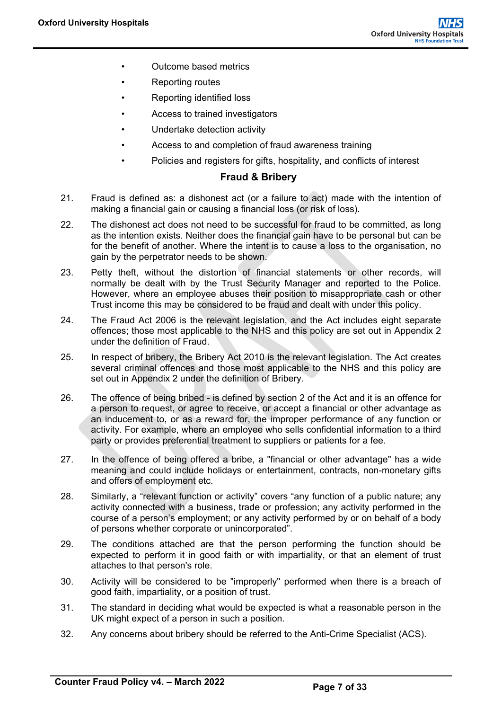- Outcome based metrics
- Reporting routes
- Reporting identified loss
- Access to trained investigators
- Undertake detection activity
- Access to and completion of fraud awareness training
- Policies and registers for gifts, hospitality, and conflicts of interest

# **Fraud & Bribery**

- <span id="page-11-0"></span>21. Fraud is defined as: a dishonest act (or a failure to act) made with the intention of making a financial gain or causing a financial loss (or risk of loss).
- 22. The dishonest act does not need to be successful for fraud to be committed, as long as the intention exists. Neither does the financial gain have to be personal but can be for the benefit of another. Where the intent is to cause a loss to the organisation, no gain by the perpetrator needs to be shown.
- 23. Petty theft, without the distortion of financial statements or other records, will normally be dealt with by the Trust Security Manager and reported to the Police. However, where an employee abuses their position to misappropriate cash or other Trust income this may be considered to be fraud and dealt with under this policy.
- 24. The Fraud Act 2006 is the relevant legislation, and the Act includes eight separate offences; those most applicable to the NHS and this policy are set out in Appendix 2 under the definition of Fraud.
- 25. In respect of bribery, the Bribery Act 2010 is the relevant legislation. The Act creates several criminal offences and those most applicable to the NHS and this policy are set out in Appendix 2 under the definition of Bribery.
- 26. The offence of being bribed is defined by section 2 of the Act and it is an offence for a person to request, or agree to receive, or accept a financial or other advantage as an inducement to, or as a reward for, the improper performance of any function or activity. For example, where an employee who sells confidential information to a third party or provides preferential treatment to suppliers or patients for a fee.
- 27. In the offence of being offered a bribe, a "financial or other advantage" has a wide meaning and could include holidays or entertainment, contracts, non-monetary gifts and offers of employment etc.
- 28. Similarly, a "relevant function or activity" covers "any function of a public nature; any activity connected with a business, trade or profession; any activity performed in the course of a person's employment; or any activity performed by or on behalf of a body of persons whether corporate or unincorporated".
- 29. The conditions attached are that the person performing the function should be expected to perform it in good faith or with impartiality, or that an element of trust attaches to that person's role.
- 30. Activity will be considered to be "improperly" performed when there is a breach of good faith, impartiality, or a position of trust.
- 31. The standard in deciding what would be expected is what a reasonable person in the UK might expect of a person in such a position.
- 32. Any concerns about bribery should be referred to the Anti-Crime Specialist (ACS).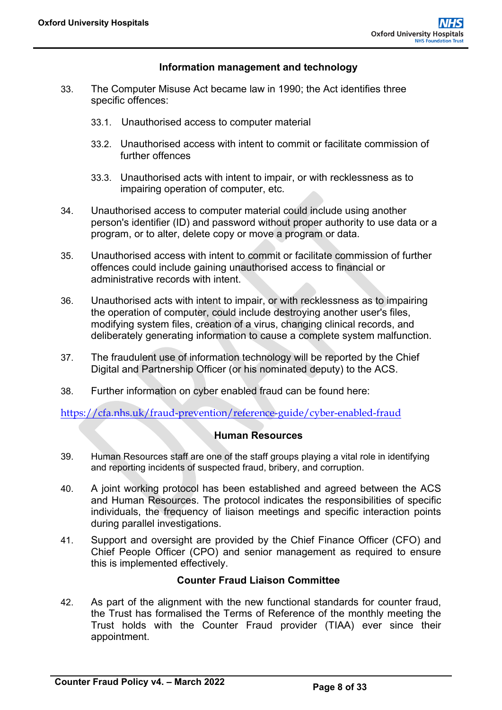# **Information management and technology**

- <span id="page-12-0"></span>33. The Computer Misuse Act became law in 1990; the Act identifies three specific offences:
	- 33.1. Unauthorised access to computer material
	- 33.2. Unauthorised access with intent to commit or facilitate commission of further offences
	- 33.3. Unauthorised acts with intent to impair, or with recklessness as to impairing operation of computer, etc.
- 34. Unauthorised access to computer material could include using another person's identifier (ID) and password without proper authority to use data or a program, or to alter, delete copy or move a program or data.
- 35. Unauthorised access with intent to commit or facilitate commission of further offences could include gaining unauthorised access to financial or administrative records with intent.
- 36. Unauthorised acts with intent to impair, or with recklessness as to impairing the operation of computer, could include destroying another user's files, modifying system files, creation of a virus, changing clinical records, and deliberately generating information to cause a complete system malfunction.
- 37. The fraudulent use of information technology will be reported by the Chief Digital and Partnership Officer (or his nominated deputy) to the ACS.
- 38. Further information on cyber enabled fraud can be found here:

<span id="page-12-1"></span><https://cfa.nhs.uk/fraud-prevention/reference-guide/cyber-enabled-fraud>

# **Human Resources**

- 39. Human Resources staff are one of the staff groups playing a vital role in identifying and reporting incidents of suspected fraud, bribery, and corruption.
- 40. A joint working protocol has been established and agreed between the ACS and Human Resources. The protocol indicates the responsibilities of specific individuals, the frequency of liaison meetings and specific interaction points during parallel investigations.
- 41. Support and oversight are provided by the Chief Finance Officer (CFO) and Chief People Officer (CPO) and senior management as required to ensure this is implemented effectively.

#### **Counter Fraud Liaison Committee**

<span id="page-12-2"></span>42. As part of the alignment with the new functional standards for counter fraud, the Trust has formalised the Terms of Reference of the monthly meeting the Trust holds with the Counter Fraud provider (TIAA) ever since their appointment.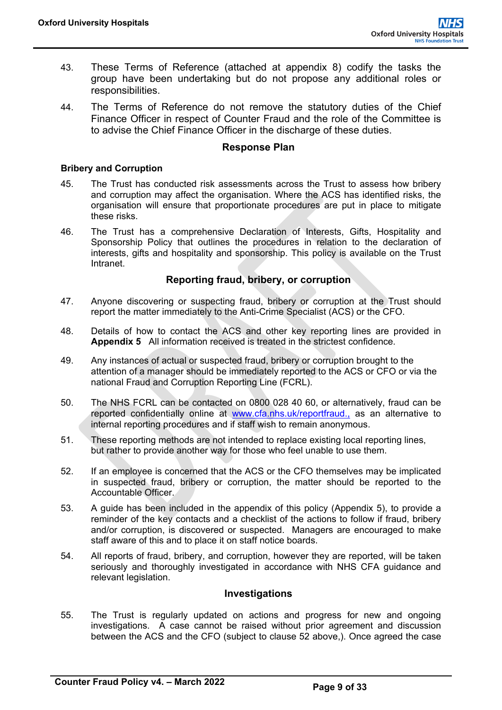- 43. These Terms of Reference (attached at appendix 8) codify the tasks the group have been undertaking but do not propose any additional roles or responsibilities.
- 44. The Terms of Reference do not remove the statutory duties of the Chief Finance Officer in respect of Counter Fraud and the role of the Committee is to advise the Chief Finance Officer in the discharge of these duties.

#### **Response Plan**

#### <span id="page-13-0"></span>**Bribery and Corruption**

- 45. The Trust has conducted risk assessments across the Trust to assess how bribery and corruption may affect the organisation. Where the ACS has identified risks, the organisation will ensure that proportionate procedures are put in place to mitigate these risks.
- 46. The Trust has a comprehensive Declaration of Interests, Gifts, Hospitality and Sponsorship Policy that outlines the procedures in relation to the declaration of interests, gifts and hospitality and sponsorship. This policy is available on the Trust **Intranet**

#### **Reporting fraud, bribery, or corruption**

- <span id="page-13-1"></span>47. Anyone discovering or suspecting fraud, bribery or corruption at the Trust should report the matter immediately to the Anti-Crime Specialist (ACS) or the CFO.
- 48. Details of how to contact the ACS and other key reporting lines are provided in **Appendix 5** All information received is treated in the strictest confidence.
- 49. Any instances of actual or suspected fraud, bribery or corruption brought to the attention of a manager should be immediately reported to the ACS or CFO or via the national Fraud and Corruption Reporting Line (FCRL).
- 50. The NHS FCRL can be contacted on 0800 028 40 60, or alternatively, fraud can be reported confidentially online at [www.cfa.nhs.uk/reportfraud.](http://www.cfa.nhs.uk/reportfraud), as an alternative to internal reporting procedures and if staff wish to remain anonymous.
- 51. These reporting methods are not intended to replace existing local reporting lines, but rather to provide another way for those who feel unable to use them.
- 52. If an employee is concerned that the ACS or the CFO themselves may be implicated in suspected fraud, bribery or corruption, the matter should be reported to the Accountable Officer.
- 53. A guide has been included in the appendix of this policy (Appendix 5), to provide a reminder of the key contacts and a checklist of the actions to follow if fraud, bribery and/or corruption, is discovered or suspected. Managers are encouraged to make staff aware of this and to place it on staff notice boards.
- 54. All reports of fraud, bribery, and corruption, however they are reported, will be taken seriously and thoroughly investigated in accordance with NHS CFA guidance and relevant legislation.

#### **Investigations**

<span id="page-13-2"></span>55. The Trust is regularly updated on actions and progress for new and ongoing investigations. A case cannot be raised without prior agreement and discussion between the ACS and the CFO (subject to clause 52 above,). Once agreed the case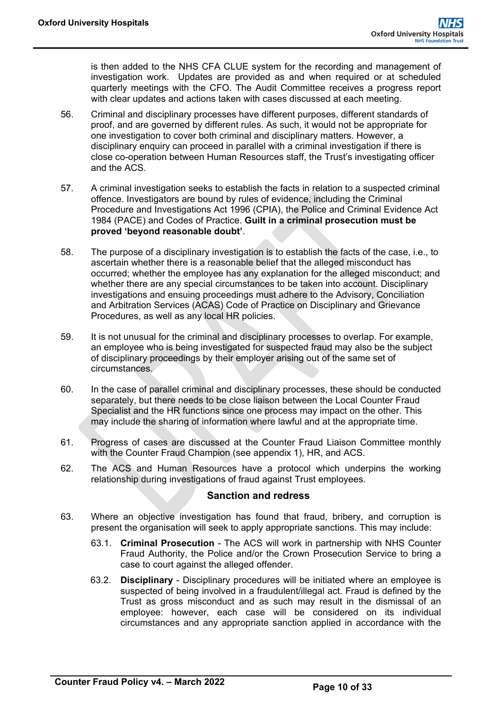is then added to the NHS CFA CLUE system for the recording and management of investigation work. Updates are provided as and when required or at scheduled quarterly meetings with the CFO. The Audit Committee receives a progress report with clear updates and actions taken with cases discussed at each meeting.

- 56. Criminal and disciplinary processes have different purposes, different standards of proof, and are governed by different rules. As such, it would not be appropriate for one investigation to cover both criminal and disciplinary matters. However, a disciplinary enquiry can proceed in parallel with a criminal investigation if there is close co-operation between Human Resources staff, the Trust's investigating officer and the ACS.
- 57. A criminal investigation seeks to establish the facts in relation to a suspected criminal offence. Investigators are bound by rules of evidence, including the Criminal Procedure and Investigations Act 1996 (CPIA), the Police and Criminal Evidence Act 1984 (PACE) and Codes of Practice. **Guilt in a criminal prosecution must be proved 'beyond reasonable doubt'**.
- 58. The purpose of a disciplinary investigation is to establish the facts of the case, i.e., to ascertain whether there is a reasonable belief that the alleged misconduct has occurred; whether the employee has any explanation for the alleged misconduct; and whether there are any special circumstances to be taken into account. Disciplinary investigations and ensuing proceedings must adhere to the Advisory, Conciliation and Arbitration Services (ACAS) Code of Practice on Disciplinary and Grievance Procedures, as well as any local HR policies.
- 59. It is not unusual for the criminal and disciplinary processes to overlap. For example, an employee who is being investigated for suspected fraud may also be the subject of disciplinary proceedings by their employer arising out of the same set of circumstances.
- 60. In the case of parallel criminal and disciplinary processes, these should be conducted separately, but there needs to be close liaison between the Local Counter Fraud Specialist and the HR functions since one process may impact on the other. This may include the sharing of information where lawful and at the appropriate time.
- 61. Progress of cases are discussed at the Counter Fraud Liaison Committee monthly with the Counter Fraud Champion (see appendix 1), HR, and ACS.
- 62. The ACS and Human Resources have a protocol which underpins the working relationship during investigations of fraud against Trust employees.

#### **Sanction and redress**

- <span id="page-14-0"></span>63. Where an objective investigation has found that fraud, bribery, and corruption is present the organisation will seek to apply appropriate sanctions. This may include:
	- 63.1. **Criminal Prosecution** The ACS will work in partnership with NHS Counter Fraud Authority, the Police and/or the Crown Prosecution Service to bring a case to court against the alleged offender.
	- 63.2. **Disciplinary** Disciplinary procedures will be initiated where an employee is suspected of being involved in a fraudulent/illegal act. Fraud is defined by the Trust as gross misconduct and as such may result in the dismissal of an employee: however, each case will be considered on its individual circumstances and any appropriate sanction applied in accordance with the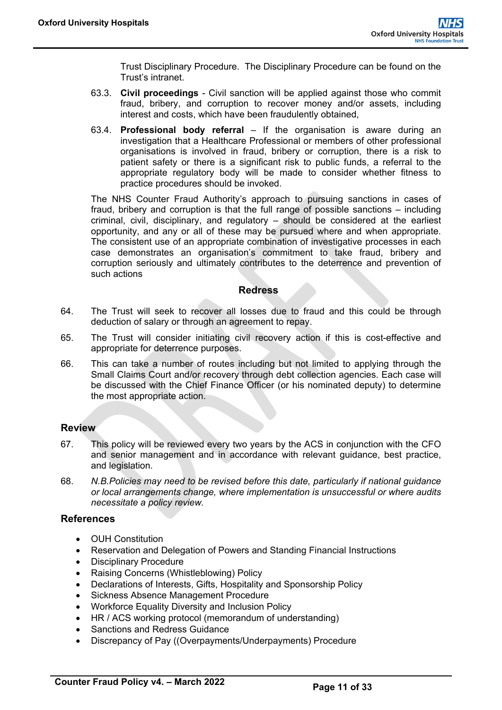Trust Disciplinary Procedure. The Disciplinary Procedure can be found on the Trust's intranet.

- 63.3. **Civil proceedings** Civil sanction will be applied against those who commit fraud, bribery, and corruption to recover money and/or assets, including interest and costs, which have been fraudulently obtained,
- 63.4. **Professional body referral** If the organisation is aware during an investigation that a Healthcare Professional or members of other professional organisations is involved in fraud, bribery or corruption, there is a risk to patient safety or there is a significant risk to public funds, a referral to the appropriate regulatory body will be made to consider whether fitness to practice procedures should be invoked.

The NHS Counter Fraud Authority's approach to pursuing sanctions in cases of fraud, bribery and corruption is that the full range of possible sanctions – including criminal, civil, disciplinary, and regulatory – should be considered at the earliest opportunity, and any or all of these may be pursued where and when appropriate. The consistent use of an appropriate combination of investigative processes in each case demonstrates an organisation's commitment to take fraud, bribery and corruption seriously and ultimately contributes to the deterrence and prevention of such actions

#### **Redress**

- <span id="page-15-0"></span>64. The Trust will seek to recover all losses due to fraud and this could be through deduction of salary or through an agreement to repay.
- 65. The Trust will consider initiating civil recovery action if this is cost-effective and appropriate for deterrence purposes.
- 66. This can take a number of routes including but not limited to applying through the Small Claims Court and/or recovery through debt collection agencies. Each case will be discussed with the Chief Finance Officer (or his nominated deputy) to determine the most appropriate action.

#### <span id="page-15-1"></span>**Review**

- 67. This policy will be reviewed every two years by the ACS in conjunction with the CFO and senior management and in accordance with relevant guidance, best practice, and legislation.
- 68. *N.B.Policies may need to be revised before this date, particularly if national guidance or local arrangements change, where implementation is unsuccessful or where audits necessitate a policy review.*

#### <span id="page-15-2"></span>**References**

- OUH Constitution
- Reservation and Delegation of Powers and Standing Financial Instructions
- Disciplinary Procedure
- Raising Concerns (Whistleblowing) Policy
- Declarations of Interests, Gifts, Hospitality and Sponsorship Policy
- Sickness Absence Management Procedure
- Workforce Equality Diversity and Inclusion Policy
- HR / ACS working protocol (memorandum of understanding)
- Sanctions and Redress Guidance
- Discrepancy of Pay ((Overpayments/Underpayments) Procedure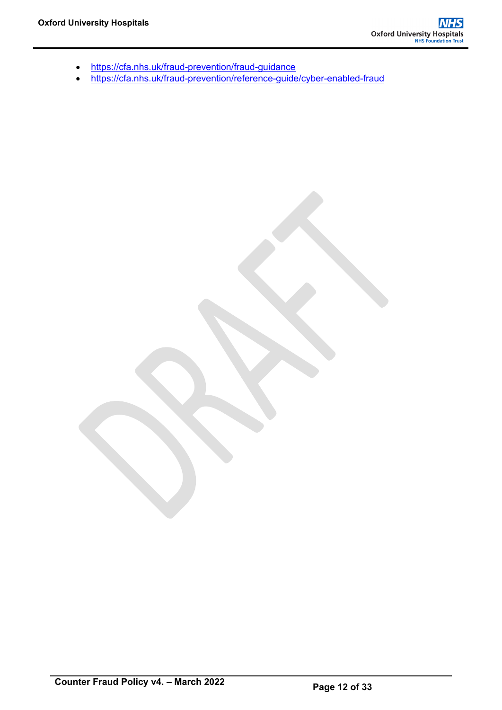- <https://cfa.nhs.uk/fraud-prevention/fraud-guidance>
- <https://cfa.nhs.uk/fraud-prevention/reference-guide/cyber-enabled-fraud>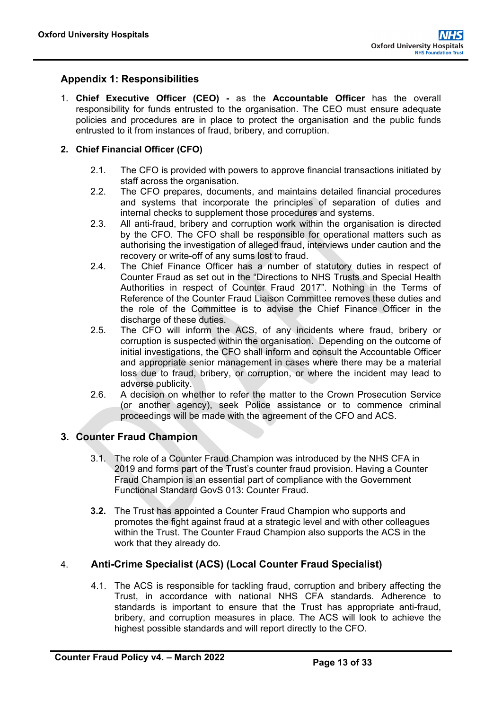# <span id="page-17-0"></span>**Appendix 1: Responsibilities**

1. **Chief Executive Officer (CEO) -** as the **Accountable Officer** has the overall responsibility for funds entrusted to the organisation. The CEO must ensure adequate policies and procedures are in place to protect the organisation and the public funds entrusted to it from instances of fraud, bribery, and corruption.

#### **2. Chief Financial Officer (CFO)**

- 2.1. The CFO is provided with powers to approve financial transactions initiated by staff across the organisation.
- 2.2. The CFO prepares, documents, and maintains detailed financial procedures and systems that incorporate the principles of separation of duties and internal checks to supplement those procedures and systems.
- 2.3. All anti-fraud, bribery and corruption work within the organisation is directed by the CFO. The CFO shall be responsible for operational matters such as authorising the investigation of alleged fraud, interviews under caution and the recovery or write-off of any sums lost to fraud.
- 2.4. The Chief Finance Officer has a number of statutory duties in respect of Counter Fraud as set out in the "Directions to NHS Trusts and Special Health Authorities in respect of Counter Fraud 2017". Nothing in the Terms of Reference of the Counter Fraud Liaison Committee removes these duties and the role of the Committee is to advise the Chief Finance Officer in the discharge of these duties.
- 2.5. The CFO will inform the ACS, of any incidents where fraud, bribery or corruption is suspected within the organisation. Depending on the outcome of initial investigations, the CFO shall inform and consult the Accountable Officer and appropriate senior management in cases where there may be a material loss due to fraud, bribery, or corruption, or where the incident may lead to adverse publicity.
- 2.6. A decision on whether to refer the matter to the Crown Prosecution Service (or another agency), seek Police assistance or to commence criminal proceedings will be made with the agreement of the CFO and ACS.

# **3. Counter Fraud Champion**

- 3.1. The role of a Counter Fraud Champion was introduced by the NHS CFA in 2019 and forms part of the Trust's counter fraud provision. Having a Counter Fraud Champion is an essential part of compliance with the Government Functional Standard GovS 013: Counter Fraud.
- **3.2.** The Trust has appointed a Counter Fraud Champion who supports and promotes the fight against fraud at a strategic level and with other colleagues within the Trust. The Counter Fraud Champion also supports the ACS in the work that they already do.

# 4. **Anti-Crime Specialist (ACS) (Local Counter Fraud Specialist)**

4.1. The ACS is responsible for tackling fraud, corruption and bribery affecting the Trust, in accordance with national NHS CFA standards. Adherence to standards is important to ensure that the Trust has appropriate anti-fraud, bribery, and corruption measures in place. The ACS will look to achieve the highest possible standards and will report directly to the CFO.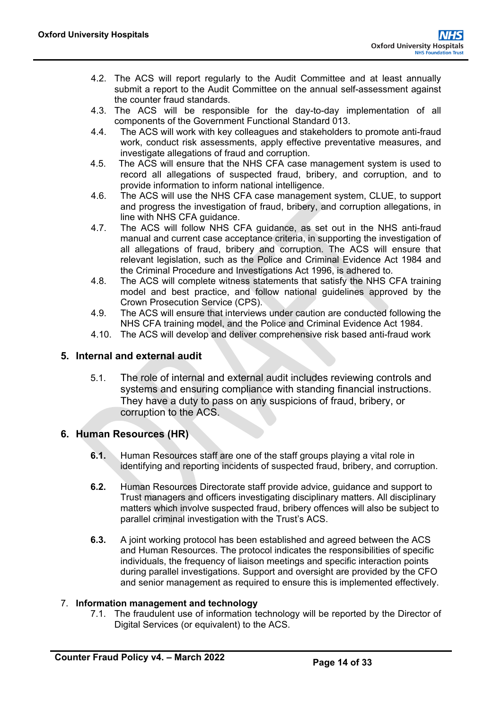- 4.2. The ACS will report regularly to the Audit Committee and at least annually submit a report to the Audit Committee on the annual self-assessment against the counter fraud standards*.*
- 4.3. The ACS will be responsible for the day-to-day implementation of all components of the Government Functional Standard 013.
- 4.4. The ACS will work with key colleagues and stakeholders to promote anti-fraud work, conduct risk assessments, apply effective preventative measures, and investigate allegations of fraud and corruption.
- 4.5. The ACS will ensure that the NHS CFA case management system is used to record all allegations of suspected fraud, bribery, and corruption, and to provide information to inform national intelligence.
- 4.6. The ACS will use the NHS CFA case management system, CLUE, to support and progress the investigation of fraud, bribery, and corruption allegations, in line with NHS CFA guidance.
- 4.7. The ACS will follow NHS CFA guidance, as set out in the NHS anti-fraud manual and current case acceptance criteria, in supporting the investigation of all allegations of fraud, bribery and corruption. The ACS will ensure that relevant legislation, such as the Police and Criminal Evidence Act 1984 and the Criminal Procedure and Investigations Act 1996, is adhered to.
- 4.8. The ACS will complete witness statements that satisfy the NHS CFA training model and best practice, and follow national guidelines approved by the Crown Prosecution Service (CPS).
- 4.9. The ACS will ensure that interviews under caution are conducted following the NHS CFA training model, and the Police and Criminal Evidence Act 1984.
- 4.10. The ACS will develop and deliver comprehensive risk based anti-fraud work

# **5. Internal and external audit**

5.1. The role of internal and external audit includes reviewing controls and systems and ensuring compliance with standing financial instructions. They have a duty to pass on any suspicions of fraud, bribery, or corruption to the ACS.

# **6. Human Resources (HR)**

- **6.1.** Human Resources staff are one of the staff groups playing a vital role in identifying and reporting incidents of suspected fraud, bribery, and corruption.
- **6.2.** Human Resources Directorate staff provide advice, guidance and support to Trust managers and officers investigating disciplinary matters. All disciplinary matters which involve suspected fraud, bribery offences will also be subject to parallel criminal investigation with the Trust's ACS.
- **6.3.** A joint working protocol has been established and agreed between the ACS and Human Resources. The protocol indicates the responsibilities of specific individuals, the frequency of liaison meetings and specific interaction points during parallel investigations. Support and oversight are provided by the CFO and senior management as required to ensure this is implemented effectively.

# 7. **Information management and technology**

7.1. The fraudulent use of information technology will be reported by the Director of Digital Services (or equivalent) to the ACS.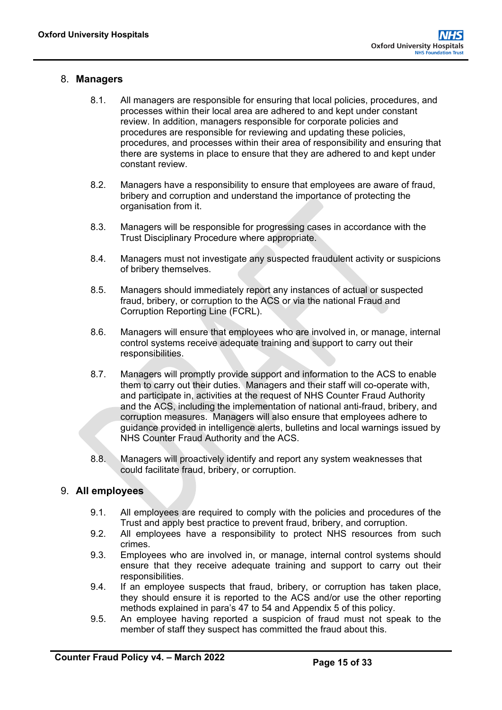# 8. **Managers**

- 8.1. All managers are responsible for ensuring that local policies, procedures, and processes within their local area are adhered to and kept under constant review. In addition, managers responsible for corporate policies and procedures are responsible for reviewing and updating these policies, procedures, and processes within their area of responsibility and ensuring that there are systems in place to ensure that they are adhered to and kept under constant review.
- 8.2. Managers have a responsibility to ensure that employees are aware of fraud, bribery and corruption and understand the importance of protecting the organisation from it.
- 8.3. Managers will be responsible for progressing cases in accordance with the Trust Disciplinary Procedure where appropriate.
- 8.4. Managers must not investigate any suspected fraudulent activity or suspicions of bribery themselves.
- 8.5. Managers should immediately report any instances of actual or suspected fraud, bribery, or corruption to the ACS or via the national Fraud and Corruption Reporting Line (FCRL).
- 8.6. Managers will ensure that employees who are involved in, or manage, internal control systems receive adequate training and support to carry out their responsibilities.
- 8.7. Managers will promptly provide support and information to the ACS to enable them to carry out their duties. Managers and their staff will co-operate with, and participate in, activities at the request of NHS Counter Fraud Authority and the ACS, including the implementation of national anti-fraud, bribery, and corruption measures. Managers will also ensure that employees adhere to guidance provided in intelligence alerts, bulletins and local warnings issued by NHS Counter Fraud Authority and the ACS.
- 8.8. Managers will proactively identify and report any system weaknesses that could facilitate fraud, bribery, or corruption.

# 9. **All employees**

- 9.1. All employees are required to comply with the policies and procedures of the Trust and apply best practice to prevent fraud, bribery, and corruption.
- 9.2. All employees have a responsibility to protect NHS resources from such crimes.
- 9.3. Employees who are involved in, or manage, internal control systems should ensure that they receive adequate training and support to carry out their responsibilities.
- 9.4. If an employee suspects that fraud, bribery, or corruption has taken place, they should ensure it is reported to the ACS and/or use the other reporting methods explained in para's 47 to 54 and Appendix 5 of this policy.
- 9.5. An employee having reported a suspicion of fraud must not speak to the member of staff they suspect has committed the fraud about this.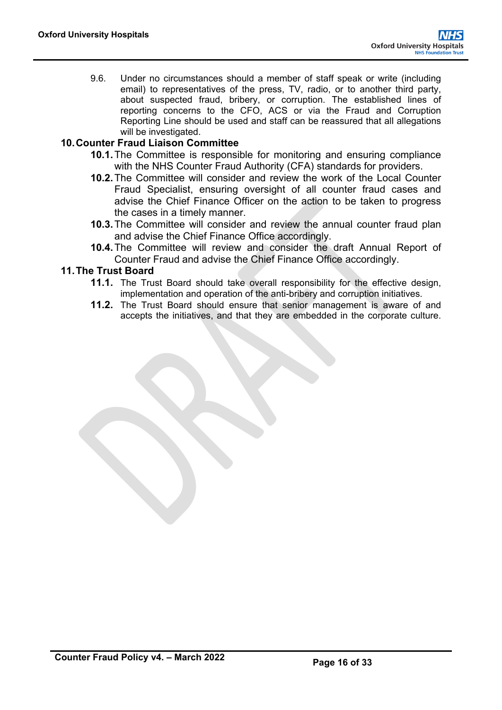9.6. Under no circumstances should a member of staff speak or write (including email) to representatives of the press, TV, radio, or to another third party, about suspected fraud, bribery, or corruption. The established lines of reporting concerns to the CFO, ACS or via the Fraud and Corruption Reporting Line should be used and staff can be reassured that all allegations will be investigated.

# **10.Counter Fraud Liaison Committee**

- **10.1.**The Committee is responsible for monitoring and ensuring compliance with the NHS Counter Fraud Authority (CFA) standards for providers.
- **10.2.**The Committee will consider and review the work of the Local Counter Fraud Specialist, ensuring oversight of all counter fraud cases and advise the Chief Finance Officer on the action to be taken to progress the cases in a timely manner.
- **10.3.**The Committee will consider and review the annual counter fraud plan and advise the Chief Finance Office accordingly.
- **10.4.**The Committee will review and consider the draft Annual Report of Counter Fraud and advise the Chief Finance Office accordingly.

# **11.The Trust Board**

- **11.1.** The Trust Board should take overall responsibility for the effective design, implementation and operation of the anti-bribery and corruption initiatives.
- **11.2.** The Trust Board should ensure that senior management is aware of and accepts the initiatives, and that they are embedded in the corporate culture.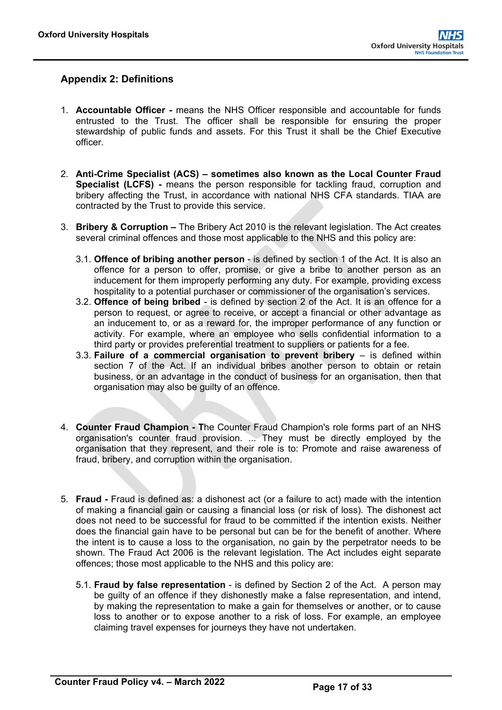# <span id="page-21-0"></span>**Appendix 2: Definitions**

- 1. **Accountable Officer -** means the NHS Officer responsible and accountable for funds entrusted to the Trust. The officer shall be responsible for ensuring the proper stewardship of public funds and assets. For this Trust it shall be the Chief Executive officer.
- 2. **Anti-Crime Specialist (ACS) – sometimes also known as the Local Counter Fraud Specialist (LCFS) -** means the person responsible for tackling fraud, corruption and bribery affecting the Trust, in accordance with national NHS CFA standards. TIAA are contracted by the Trust to provide this service.
- 3. **Bribery & Corruption –** The Bribery Act 2010 is the relevant legislation. The Act creates several criminal offences and those most applicable to the NHS and this policy are:
	- 3.1. **Offence of bribing another person** is defined by section 1 of the Act. It is also an offence for a person to offer, promise, or give a bribe to another person as an inducement for them improperly performing any duty. For example, providing excess hospitality to a potential purchaser or commissioner of the organisation's services.
	- 3.2. **Offence of being bribed** is defined by section 2 of the Act. It is an offence for a person to request, or agree to receive, or accept a financial or other advantage as an inducement to, or as a reward for, the improper performance of any function or activity. For example, where an employee who sells confidential information to a third party or provides preferential treatment to suppliers or patients for a fee.
	- 3.3. **Failure of a commercial organisation to prevent bribery** is defined within section 7 of the Act. If an individual bribes another person to obtain or retain business, or an advantage in the conduct of business for an organisation, then that organisation may also be guilty of an offence.
- 4. **Counter Fraud Champion - T**he Counter Fraud Champion's role forms part of an NHS organisation's counter fraud provision. ... They must be directly employed by the organisation that they represent, and their role is to: Promote and raise awareness of fraud, bribery, and corruption within the organisation.
- 5. **Fraud -** Fraud is defined as: a dishonest act (or a failure to act) made with the intention of making a financial gain or causing a financial loss (or risk of loss). The dishonest act does not need to be successful for fraud to be committed if the intention exists. Neither does the financial gain have to be personal but can be for the benefit of another. Where the intent is to cause a loss to the organisation, no gain by the perpetrator needs to be shown. The Fraud Act 2006 is the relevant legislation. The Act includes eight separate offences; those most applicable to the NHS and this policy are:
	- 5.1. **Fraud by false representation** is defined by Section 2 of the Act. A person may be guilty of an offence if they dishonestly make a false representation, and intend, by making the representation to make a gain for themselves or another, or to cause loss to another or to expose another to a risk of loss. For example, an employee claiming travel expenses for journeys they have not undertaken.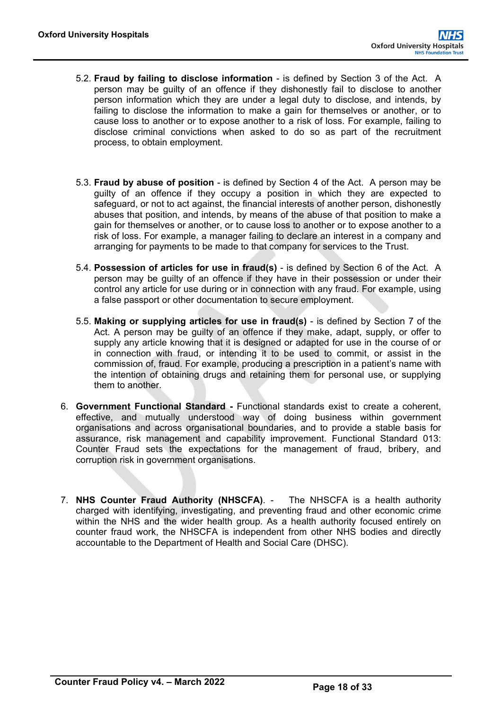- 5.2. **Fraud by failing to disclose information** is defined by Section 3 of the Act. A person may be guilty of an offence if they dishonestly fail to disclose to another person information which they are under a legal duty to disclose, and intends, by failing to disclose the information to make a gain for themselves or another, or to cause loss to another or to expose another to a risk of loss. For example, failing to disclose criminal convictions when asked to do so as part of the recruitment process, to obtain employment.
- 5.3. **Fraud by abuse of position** is defined by Section 4 of the Act. A person may be guilty of an offence if they occupy a position in which they are expected to safeguard, or not to act against, the financial interests of another person, dishonestly abuses that position, and intends, by means of the abuse of that position to make a gain for themselves or another, or to cause loss to another or to expose another to a risk of loss. For example, a manager failing to declare an interest in a company and arranging for payments to be made to that company for services to the Trust.
- 5.4. **Possession of articles for use in fraud(s)** is defined by Section 6 of the Act. A person may be guilty of an offence if they have in their possession or under their control any article for use during or in connection with any fraud. For example, using a false passport or other documentation to secure employment.
- 5.5. **Making or supplying articles for use in fraud(s)** is defined by Section 7 of the Act. A person may be guilty of an offence if they make, adapt, supply, or offer to supply any article knowing that it is designed or adapted for use in the course of or in connection with fraud, or intending it to be used to commit, or assist in the commission of, fraud. For example, producing a prescription in a patient's name with the intention of obtaining drugs and retaining them for personal use, or supplying them to another.
- 6. **Government Functional Standard -** Functional standards exist to create a coherent, effective, and mutually understood way of doing business within government organisations and across organisational boundaries, and to provide a stable basis for assurance, risk management and capability improvement. Functional Standard 013: Counter Fraud sets the expectations for the management of fraud, bribery, and corruption risk in government organisations.
- 7. **NHS Counter Fraud Authority (NHSCFA)**. The NHSCFA is a health authority charged with identifying, investigating, and preventing fraud and other economic crime within the NHS and the wider health group. As a health authority focused entirely on counter fraud work, the NHSCFA is independent from other NHS bodies and directly accountable to the Department of Health and Social Care (DHSC).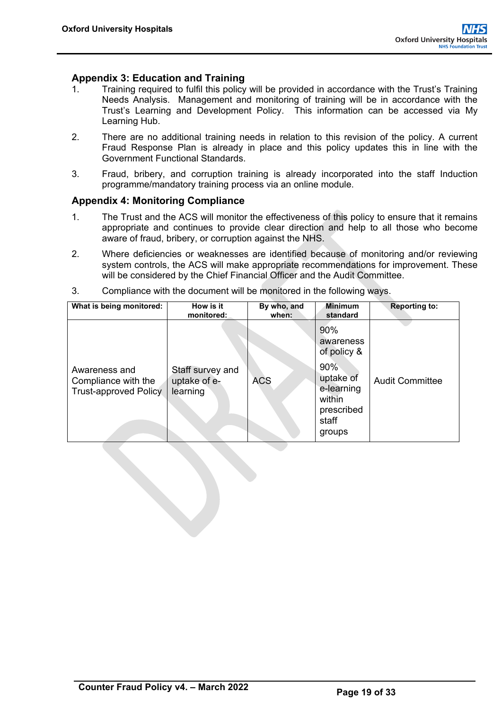# <span id="page-23-0"></span>**Appendix 3: Education and Training**<br>1. Training required to fulfil this policy

- 1. Training required to fulfil this policy will be provided in accordance with the Trust's Training Needs Analysis. Management and monitoring of training will be in accordance with the Trust's Learning and Development Policy. This information can be accessed via My Learning Hub.
- 2. There are no additional training needs in relation to this revision of the policy. A current Fraud Response Plan is already in place and this policy updates this in line with the Government Functional Standards.
- 3. Fraud, bribery, and corruption training is already incorporated into the staff Induction programme/mandatory training process via an online module.

#### <span id="page-23-1"></span>**Appendix 4: Monitoring Compliance**

- 1. The Trust and the ACS will monitor the effectiveness of this policy to ensure that it remains appropriate and continues to provide clear direction and help to all those who become aware of fraud, bribery, or corruption against the NHS.
- 2. Where deficiencies or weaknesses are identified because of monitoring and/or reviewing system controls, the ACS will make appropriate recommendations for improvement. These will be considered by the Chief Financial Officer and the Audit Committee.

| What is being monitored:                                             | How is it<br>monitored:                      | By who, and<br>when: | <b>Minimum</b><br>standard                                                | <b>Reporting to:</b>   |
|----------------------------------------------------------------------|----------------------------------------------|----------------------|---------------------------------------------------------------------------|------------------------|
|                                                                      |                                              |                      | 90%<br>awareness<br>of policy &                                           |                        |
| Awareness and<br>Compliance with the<br><b>Trust-approved Policy</b> | Staff survey and<br>uptake of e-<br>learning | <b>ACS</b>           | 90%<br>uptake of<br>e-learning<br>within<br>prescribed<br>staff<br>groups | <b>Audit Committee</b> |

3. Compliance with the document will be monitored in the following ways.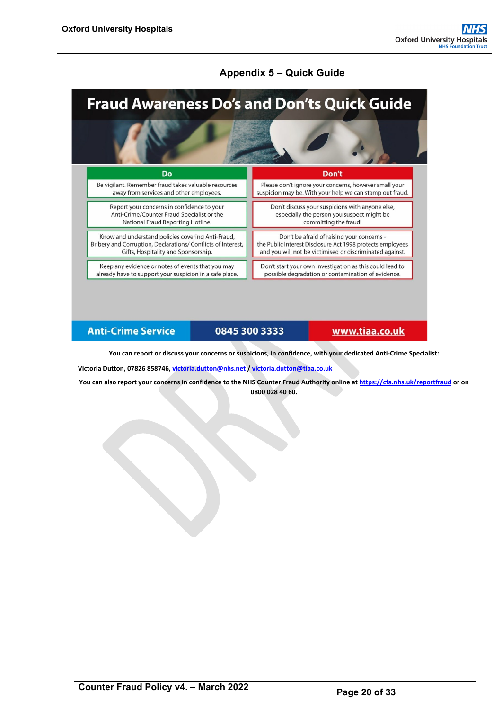# **Appendix 5 – Quick Guide**

<span id="page-24-0"></span>

#### **Anti-Crime Service**

# 0845 300 3333

www.tiaa.co.uk

**You can report or discuss your concerns or suspicions, in confidence, with your dedicated Anti-Crime Specialist:**

**Victoria Dutton, 07826 858746[, victoria.dutton@nhs.net](mailto:victoria.dutton@nhs.net) / [victoria.dutton@tiaa.co.uk](mailto:victoria.dutton@tiaa.co.uk)**

**You can also report your concerns in confidence to the NHS Counter Fraud Authority online a[t https://cfa.nhs.uk/reportfraud](https://cfa.nhs.uk/reportfraud) or on 0800 028 40 60.**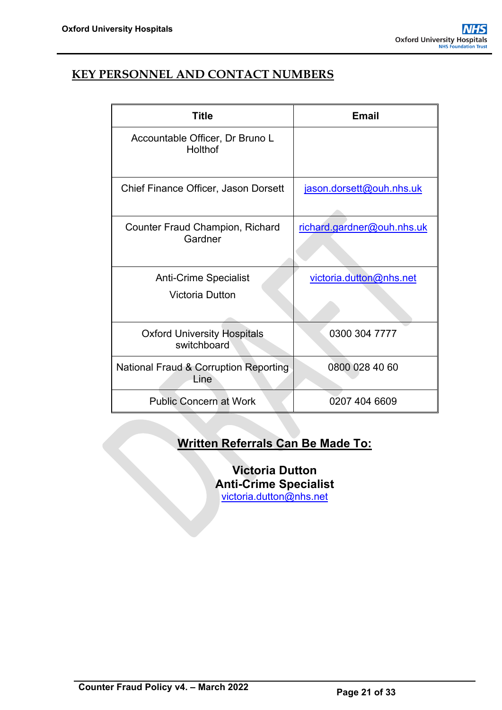# **KEY PERSONNEL AND CONTACT NUMBERS**

| <b>Title</b>                                           | Email                      |
|--------------------------------------------------------|----------------------------|
| Accountable Officer, Dr Bruno L<br>Holthof             |                            |
| Chief Finance Officer, Jason Dorsett                   | jason.dorsett@ouh.nhs.uk   |
| <b>Counter Fraud Champion, Richard</b><br>Gardner      | richard.gardner@ouh.nhs.uk |
| <b>Anti-Crime Specialist</b><br><b>Victoria Dutton</b> | victoria.dutton@nhs.net    |
| <b>Oxford University Hospitals</b><br>switchboard      | 0300 304 7777              |
| National Fraud & Corruption Reporting<br>Line          | 0800 028 40 60             |
| <b>Public Concern at Work</b>                          | 0207 404 6609              |

# **Written Referrals Can Be Made To:**

**Victoria Dutton Anti-Crime Specialist** [victoria.dutton@nhs.net](mailto:victoria.dutton@nhs.net)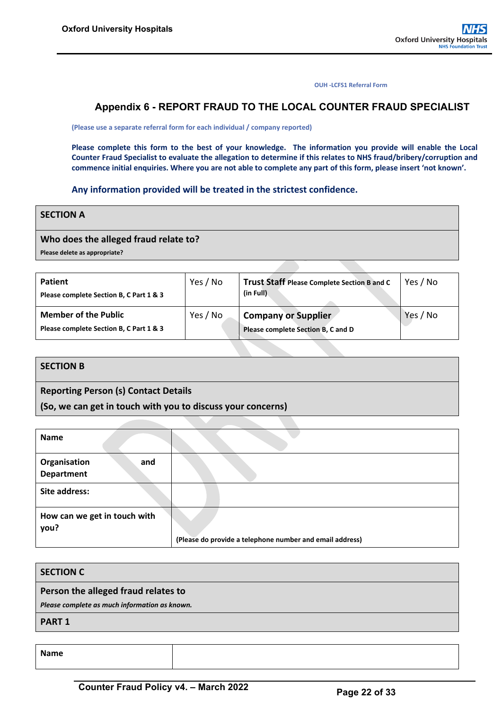**OUH -LCFS1 Referral Form**

### <span id="page-26-0"></span>**Appendix 6 - REPORT FRAUD TO THE LOCAL COUNTER FRAUD SPECIALIST**

**(Please use a separate referral form for each individual / company reported)**

**Please complete this form to the best of your knowledge. The information you provide will enable the Local Counter Fraud Specialist to evaluate the allegation to determine if this relates to NHS fraud/bribery/corruption and commence initial enquiries. Where you are not able to complete any part of this form, please insert 'not known'.**

#### **Any information provided will be treated in the strictest confidence.**

#### **SECTION A**

#### **Who does the alleged fraud relate to?**

**Please delete as appropriate?**

| <b>Patient</b><br>Please complete Section B, C Part 1 & 3              | Yes / No | <b>Trust Staff Please Complete Section B and C</b><br>(in Full)  | Yes / No |
|------------------------------------------------------------------------|----------|------------------------------------------------------------------|----------|
| <b>Member of the Public</b><br>Please complete Section B, C Part 1 & 3 | Yes / No | <b>Company or Supplier</b><br>Please complete Section B, C and D | Yes / No |

#### **SECTION B**

**Reporting Person (s) Contact Details** 

**(So, we can get in touch with you to discuss your concerns)**

| <b>Name</b>                              |                                                          |
|------------------------------------------|----------------------------------------------------------|
| Organisation<br>and<br><b>Department</b> |                                                          |
| Site address:                            |                                                          |
| How can we get in touch with<br>you?     | (Please do provide a telephone number and email address) |

| Person the alleged fraud relates to<br>Please complete as much information as known. | SECTION C |
|--------------------------------------------------------------------------------------|-----------|
|                                                                                      |           |
|                                                                                      |           |
| <b>PART 1</b>                                                                        |           |

**Name**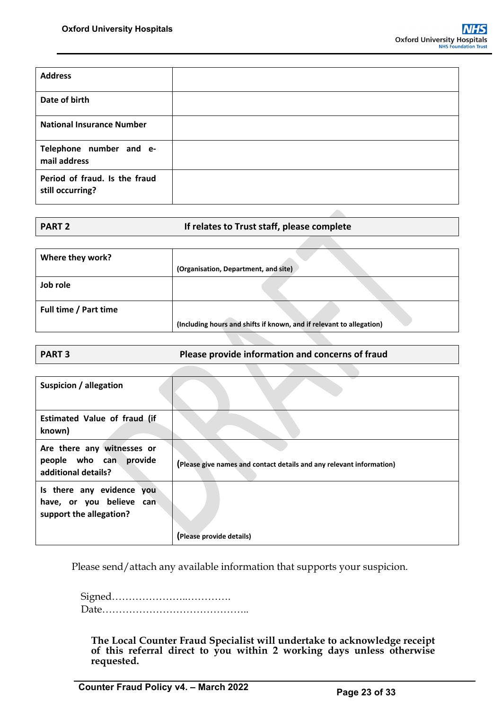| <b>Address</b>                                    |  |
|---------------------------------------------------|--|
| Date of birth                                     |  |
| <b>National Insurance Number</b>                  |  |
| Telephone number and e-<br>mail address           |  |
| Period of fraud. Is the fraud<br>still occurring? |  |

| <b>PART 2</b> | If relates to Trust staff, please complete |
|---------------|--------------------------------------------|
|               |                                            |

| Where they work?      |                                                                      |
|-----------------------|----------------------------------------------------------------------|
|                       | (Organisation, Department, and site)                                 |
| Job role              |                                                                      |
| Full time / Part time | (Including hours and shifts if known, and if relevant to allegation) |

| <b>PART 3</b> | Please provide information and concerns of fraud |
|---------------|--------------------------------------------------|

| Suspicion / allegation                                                           |                                                                      |
|----------------------------------------------------------------------------------|----------------------------------------------------------------------|
| <b>Estimated Value of fraud (if</b><br>known)                                    |                                                                      |
| Are there any witnesses or<br>people who can provide<br>additional details?      | (Please give names and contact details and any relevant information) |
| Is there any evidence you<br>have, or you believe can<br>support the allegation? | (Please provide details)                                             |

Please send/attach any available information that supports your suspicion.

Signed…………………..…………. Date……………………………………..

**The Local Counter Fraud Specialist will undertake to acknowledge receipt of this referral direct to you within 2 working days unless otherwise requested.**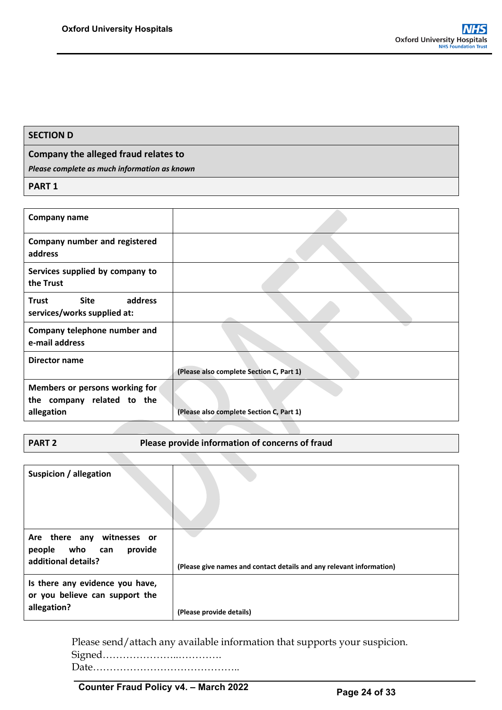#### **SECTION D**

#### **Company the alleged fraud relates to**

*Please complete as much information as known*

**PART 1**

| Company name                                                               |                                          |
|----------------------------------------------------------------------------|------------------------------------------|
| Company number and registered<br>address                                   |                                          |
| Services supplied by company to<br>the Trust                               |                                          |
| Site<br>address<br>Trust<br>services/works supplied at:                    |                                          |
| Company telephone number and<br>e-mail address                             |                                          |
| Director name                                                              | (Please also complete Section C, Part 1) |
| Members or persons working for<br>the company related to the<br>allegation | (Please also complete Section C, Part 1) |

**PART 2** Please provide information of concerns of fraud

| Suspicion / allegation                                                           |                                                                      |
|----------------------------------------------------------------------------------|----------------------------------------------------------------------|
| Are there any witnesses or<br>people who can<br>provide<br>additional details?   | (Please give names and contact details and any relevant information) |
| Is there any evidence you have,<br>or you believe can support the<br>allegation? | (Please provide details)                                             |

Please send/attach any available information that supports your suspicion.

Signed…………………..………….

Date……………………………………..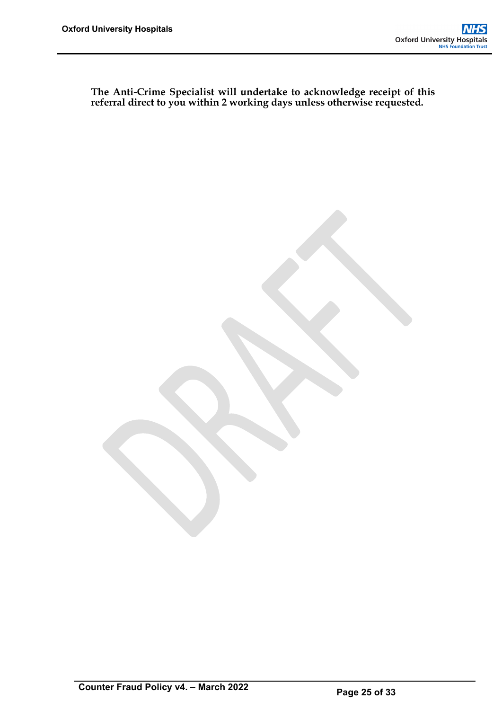**The Anti-Crime Specialist will undertake to acknowledge receipt of this referral direct to you within 2 working days unless otherwise requested.**

**Counter Fraud Policy v4. – March 2022 Page 25 of 33**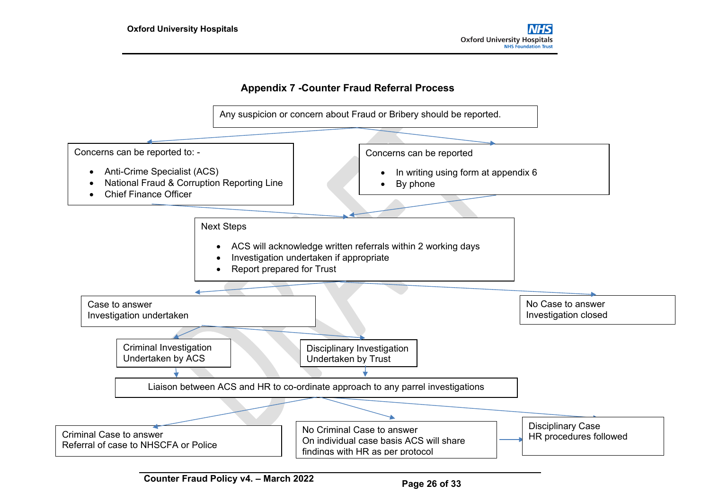# **Appendix 7 -Counter Fraud Referral Process**

<span id="page-30-0"></span>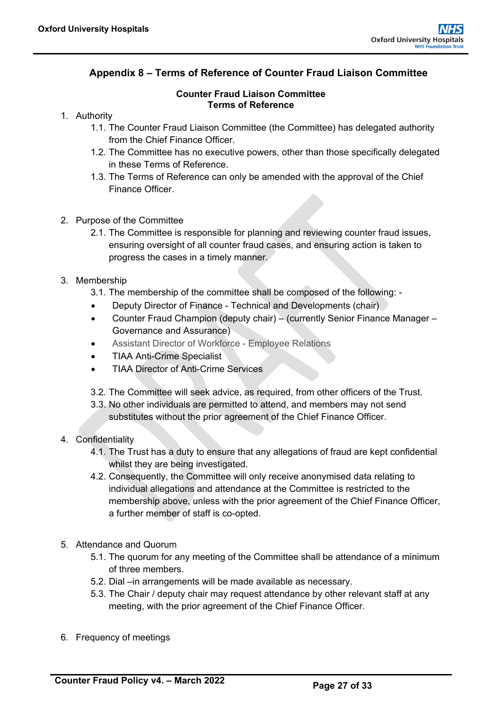# <span id="page-31-0"></span>**Appendix 8 – Terms of Reference of Counter Fraud Liaison Committee**

#### **Counter Fraud Liaison Committee Terms of Reference**

- 1. Authority
	- 1.1. The Counter Fraud Liaison Committee (the Committee) has delegated authority from the Chief Finance Officer.
	- 1.2. The Committee has no executive powers, other than those specifically delegated in these Terms of Reference.
	- 1.3. The Terms of Reference can only be amended with the approval of the Chief Finance Officer.
- 2. Purpose of the Committee
	- 2.1. The Committee is responsible for planning and reviewing counter fraud issues, ensuring oversight of all counter fraud cases, and ensuring action is taken to progress the cases in a timely manner.
- 3. Membership
	- 3.1. The membership of the committee shall be composed of the following: -
	- Deputy Director of Finance Technical and Developments (chair)
	- Counter Fraud Champion (deputy chair) (currently Senior Finance Manager Governance and Assurance)
	- Assistant Director of Workforce Employee Relations
	- TIAA Anti-Crime Specialist
	- TIAA Director of Anti-Crime Services
	- 3.2. The Committee will seek advice, as required, from other officers of the Trust.
	- 3.3. No other individuals are permitted to attend, and members may not send substitutes without the prior agreement of the Chief Finance Officer.

#### 4. Confidentiality

- 4.1. The Trust has a duty to ensure that any allegations of fraud are kept confidential whilst they are being investigated.
- 4.2. Consequently, the Committee will only receive anonymised data relating to individual allegations and attendance at the Committee is restricted to the membership above, unless with the prior agreement of the Chief Finance Officer, a further member of staff is co-opted.
- 5. Attendance and Quorum
	- 5.1. The quorum for any meeting of the Committee shall be attendance of a minimum of three members.
	- 5.2. Dial –in arrangements will be made available as necessary.
	- 5.3. The Chair / deputy chair may request attendance by other relevant staff at any meeting, with the prior agreement of the Chief Finance Officer.
- 6. Frequency of meetings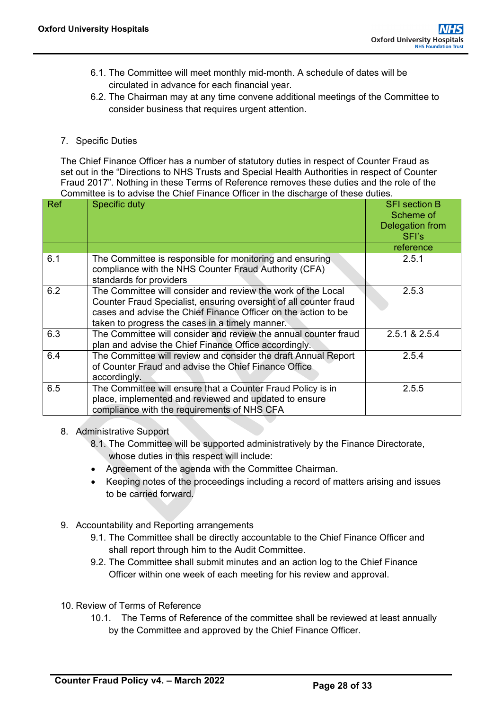- 6.1. The Committee will meet monthly mid-month. A schedule of dates will be circulated in advance for each financial year.
- 6.2. The Chairman may at any time convene additional meetings of the Committee to consider business that requires urgent attention.

#### 7. Specific Duties

The Chief Finance Officer has a number of statutory duties in respect of Counter Fraud as set out in the "Directions to NHS Trusts and Special Health Authorities in respect of Counter Fraud 2017". Nothing in these Terms of Reference removes these duties and the role of the Committee is to advise the Chief Finance Officer in the discharge of these duties.

| <b>Ref</b> | <b>Specific duty</b>                                                                                                                                                                                                                                   | <b>SFI</b> section B<br>Scheme of<br>Delegation from<br>SFI's |
|------------|--------------------------------------------------------------------------------------------------------------------------------------------------------------------------------------------------------------------------------------------------------|---------------------------------------------------------------|
|            |                                                                                                                                                                                                                                                        | reference                                                     |
| 6.1        | The Committee is responsible for monitoring and ensuring<br>compliance with the NHS Counter Fraud Authority (CFA)<br>standards for providers                                                                                                           | 2.5.1                                                         |
| 6.2        | The Committee will consider and review the work of the Local<br>Counter Fraud Specialist, ensuring oversight of all counter fraud<br>cases and advise the Chief Finance Officer on the action to be<br>taken to progress the cases in a timely manner. | 2.5.3                                                         |
| 6.3        | The Committee will consider and review the annual counter fraud<br>plan and advise the Chief Finance Office accordingly.                                                                                                                               | 2.5.1 & 2.5.4                                                 |
| 6.4        | The Committee will review and consider the draft Annual Report<br>of Counter Fraud and advise the Chief Finance Office<br>accordingly.                                                                                                                 | 2.5.4                                                         |
| 6.5        | The Committee will ensure that a Counter Fraud Policy is in<br>place, implemented and reviewed and updated to ensure<br>compliance with the requirements of NHS CFA                                                                                    | 2.5.5                                                         |

8. Administrative Support

8.1. The Committee will be supported administratively by the Finance Directorate, whose duties in this respect will include:

- Agreement of the agenda with the Committee Chairman.
- Keeping notes of the proceedings including a record of matters arising and issues to be carried forward.
- 9. Accountability and Reporting arrangements
	- 9.1. The Committee shall be directly accountable to the Chief Finance Officer and shall report through him to the Audit Committee.
	- 9.2. The Committee shall submit minutes and an action log to the Chief Finance Officer within one week of each meeting for his review and approval.
- 10. Review of Terms of Reference
	- 10.1. The Terms of Reference of the committee shall be reviewed at least annually by the Committee and approved by the Chief Finance Officer.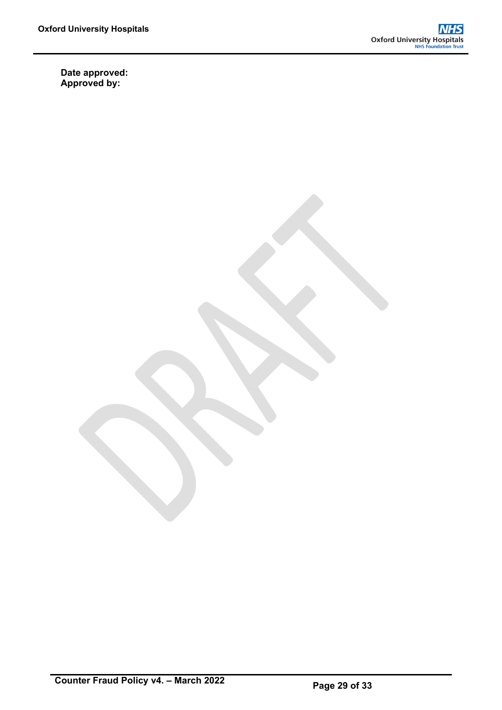**Date approved: Approved by:**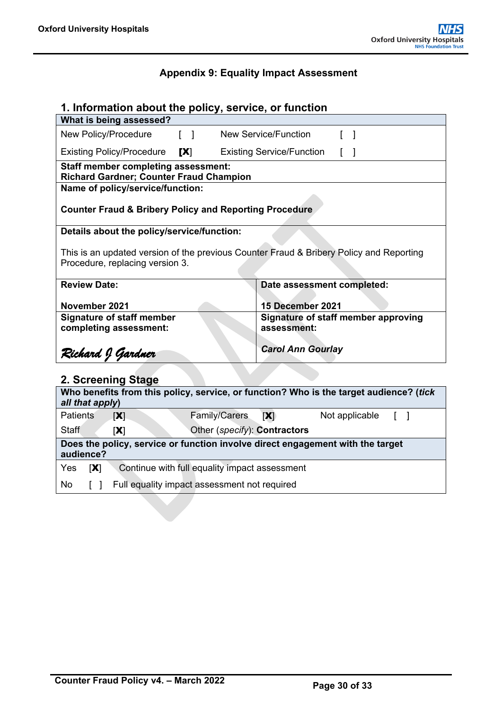# **Appendix 9: Equality Impact Assessment**

<span id="page-34-0"></span>

| 1. Information about the policy, service, or function                                                                      |                                  |  |  |  |  |
|----------------------------------------------------------------------------------------------------------------------------|----------------------------------|--|--|--|--|
| What is being assessed?                                                                                                    |                                  |  |  |  |  |
| New Policy/Procedure<br>$\begin{bmatrix} 1 \end{bmatrix}$                                                                  | <b>New Service/Function</b>      |  |  |  |  |
| <b>Existing Policy/Procedure</b><br>[X]                                                                                    | <b>Existing Service/Function</b> |  |  |  |  |
| <b>Staff member completing assessment:</b><br><b>Richard Gardner; Counter Fraud Champion</b>                               |                                  |  |  |  |  |
| Name of policy/service/function:                                                                                           |                                  |  |  |  |  |
| <b>Counter Fraud &amp; Bribery Policy and Reporting Procedure</b>                                                          |                                  |  |  |  |  |
| Details about the policy/service/function:                                                                                 |                                  |  |  |  |  |
| This is an updated version of the previous Counter Fraud & Bribery Policy and Reporting<br>Procedure, replacing version 3. |                                  |  |  |  |  |
| <b>Review Date:</b>                                                                                                        | Date assessment completed:       |  |  |  |  |
| November 2021                                                                                                              | 15 December 2021                 |  |  |  |  |
| Signature of staff member approving<br><b>Signature of staff member</b><br>completing assessment:<br>assessment:           |                                  |  |  |  |  |
| <b>Carol Ann Gourlay</b><br>Richard J Gardner                                                                              |                                  |  |  |  |  |
| 2. Screening Stage                                                                                                         |                                  |  |  |  |  |
| Who benefits from this policy, service, or function? Who is the target audience? (tick<br>all that apply)                  |                                  |  |  |  |  |
| <b>Patients</b><br><b>Family/Carers</b><br>[X]                                                                             | [X]<br>Not applicable            |  |  |  |  |

| Staff      |           | Other ( <i>specify</i> ): <b>Contractors</b><br>$ {\bf X} $                    |
|------------|-----------|--------------------------------------------------------------------------------|
|            | audience? | Does the policy, service or function involve direct engagement with the target |
| <b>Yes</b> | [X]       | Continue with full equality impact assessment                                  |
| No         |           | Full equality impact assessment not required                                   |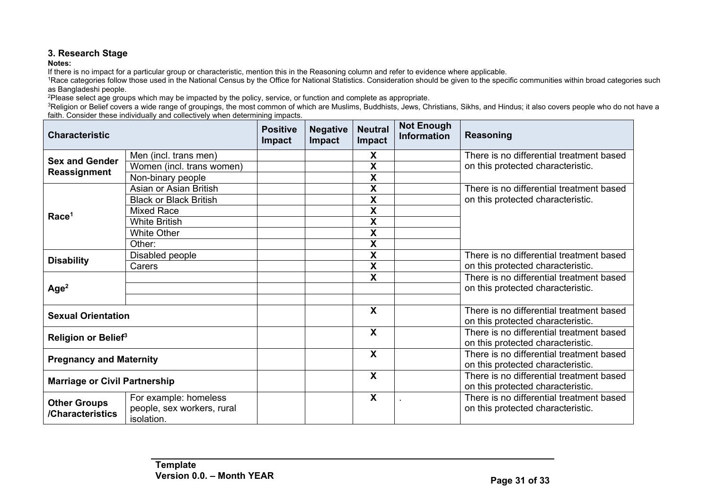# **3. Research Stage**

Notes:<br>If there is no impact for a particular group or characteristic, mention this in the Reasoning column and refer to evidence where applicable.

Trace categories follow those used in the National Census by the Office for National Statistics. Consideration should be given to the specific communities within broad categories such as Bangladeshi people.

<sup>2</sup>Please select age groups which may be impacted by the policy, service, or function and complete as appropriate.

<sup>3</sup>Religion or Belief covers a wide range of groupings, the most common of which are Muslims, Buddhists, Jews, Christians, Sikhs, and Hindus; it also covers people who do not have a faith. Consider these individually and collectively when determining impacts.

| <b>Characteristic</b>           |                                          | <b>Positive</b><br>Impact | <b>Negative</b><br>Impact | <b>Neutral</b><br>Impact  | <b>Not Enough</b><br><b>Information</b> | <b>Reasoning</b>                                                              |
|---------------------------------|------------------------------------------|---------------------------|---------------------------|---------------------------|-----------------------------------------|-------------------------------------------------------------------------------|
| <b>Sex and Gender</b>           | Men (incl. trans men)                    |                           |                           | X                         |                                         | There is no differential treatment based                                      |
| Reassignment                    | Women (incl. trans women)                |                           |                           | X                         |                                         | on this protected characteristic.                                             |
|                                 | Non-binary people                        |                           |                           | $\boldsymbol{X}$          |                                         |                                                                               |
|                                 | Asian or Asian British                   |                           |                           | X                         |                                         | There is no differential treatment based                                      |
|                                 | <b>Black or Black British</b>            |                           |                           | X                         |                                         | on this protected characteristic.                                             |
|                                 | <b>Mixed Race</b>                        |                           |                           | X                         |                                         |                                                                               |
| Race <sup>1</sup>               | <b>White British</b>                     |                           |                           | X                         |                                         |                                                                               |
|                                 | <b>White Other</b>                       |                           |                           | X                         |                                         |                                                                               |
|                                 | Other:                                   |                           |                           | X                         |                                         |                                                                               |
|                                 | Disabled people                          |                           |                           | X                         |                                         | There is no differential treatment based                                      |
| <b>Disability</b>               | Carers                                   |                           |                           | X                         |                                         | on this protected characteristic.                                             |
|                                 |                                          |                           |                           | X                         |                                         | There is no differential treatment based                                      |
| Age <sup>2</sup>                |                                          |                           |                           |                           |                                         | on this protected characteristic.                                             |
|                                 |                                          |                           |                           |                           |                                         |                                                                               |
| <b>Sexual Orientation</b>       |                                          |                           |                           | $\boldsymbol{\mathsf{X}}$ |                                         | There is no differential treatment based<br>on this protected characteristic. |
| Religion or Belief <sup>3</sup> |                                          |                           |                           | $\boldsymbol{\mathsf{X}}$ |                                         | There is no differential treatment based<br>on this protected characteristic. |
| <b>Pregnancy and Maternity</b>  |                                          |                           |                           | $\boldsymbol{\mathsf{X}}$ |                                         | There is no differential treatment based<br>on this protected characteristic. |
|                                 | <b>Marriage or Civil Partnership</b>     |                           |                           | X                         |                                         | There is no differential treatment based<br>on this protected characteristic. |
| <b>Other Groups</b>             | For example: homeless                    |                           |                           | $\boldsymbol{\mathsf{X}}$ |                                         | There is no differential treatment based                                      |
| /Characteristics                | people, sex workers, rural<br>isolation. |                           |                           |                           |                                         | on this protected characteristic.                                             |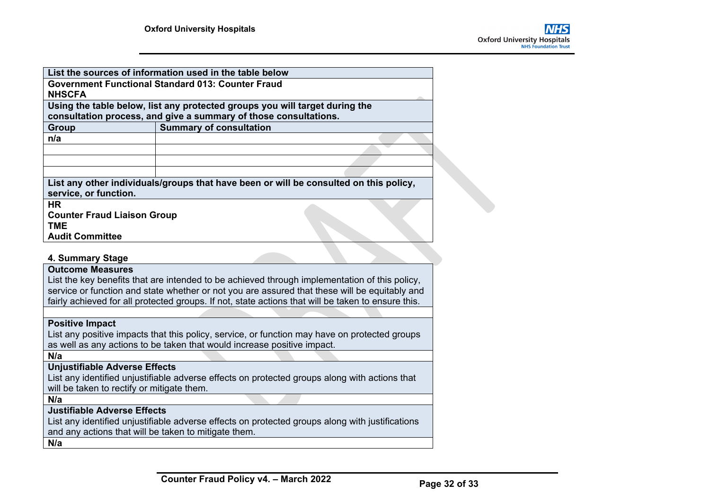|                                                      | List the sources of information used in the table below                                            |  |
|------------------------------------------------------|----------------------------------------------------------------------------------------------------|--|
|                                                      | <b>Government Functional Standard 013: Counter Fraud</b>                                           |  |
| <b>NHSCFA</b>                                        |                                                                                                    |  |
|                                                      | Using the table below, list any protected groups you will target during the                        |  |
|                                                      | consultation process, and give a summary of those consultations.                                   |  |
| <b>Group</b>                                         | <b>Summary of consultation</b>                                                                     |  |
| n/a                                                  |                                                                                                    |  |
|                                                      |                                                                                                    |  |
|                                                      |                                                                                                    |  |
|                                                      |                                                                                                    |  |
|                                                      | List any other individuals/groups that have been or will be consulted on this policy,              |  |
| service, or function.                                |                                                                                                    |  |
| <b>HR</b>                                            |                                                                                                    |  |
| <b>Counter Fraud Liaison Group</b>                   |                                                                                                    |  |
| <b>TME</b>                                           |                                                                                                    |  |
| <b>Audit Committee</b>                               |                                                                                                    |  |
|                                                      |                                                                                                    |  |
| 4. Summary Stage                                     |                                                                                                    |  |
| <b>Outcome Measures</b>                              |                                                                                                    |  |
|                                                      | List the key benefits that are intended to be achieved through implementation of this policy,      |  |
|                                                      | service or function and state whether or not you are assured that these will be equitably and      |  |
|                                                      | fairly achieved for all protected groups. If not, state actions that will be taken to ensure this. |  |
|                                                      |                                                                                                    |  |
| <b>Positive Impact</b>                               |                                                                                                    |  |
|                                                      | List any positive impacts that this policy, service, or function may have on protected groups      |  |
|                                                      | as well as any actions to be taken that would increase positive impact.                            |  |
| N/a                                                  |                                                                                                    |  |
| <b>Unjustifiable Adverse Effects</b>                 |                                                                                                    |  |
|                                                      | List any identified unjustifiable adverse effects on protected groups along with actions that      |  |
| will be taken to rectify or mitigate them.           |                                                                                                    |  |
| N/a                                                  |                                                                                                    |  |
| <b>Justifiable Adverse Effects</b>                   |                                                                                                    |  |
|                                                      | List any identified unjustifiable adverse effects on protected groups along with justifications    |  |
| and any actions that will be taken to mitigate them. |                                                                                                    |  |
| N/a                                                  |                                                                                                    |  |